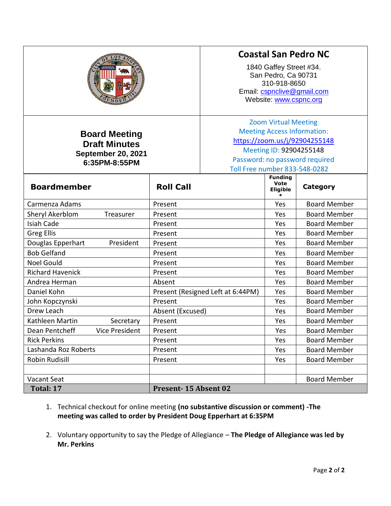|                                                                                     |                      | <b>Coastal San Pedro NC</b><br>1840 Gaffey Street #34.<br>San Pedro, Ca 90731<br>310-918-8650<br>Email: cspnclive@gmail.com<br>Website: www.cspnc.org                                            |                                                |                     |
|-------------------------------------------------------------------------------------|----------------------|--------------------------------------------------------------------------------------------------------------------------------------------------------------------------------------------------|------------------------------------------------|---------------------|
| <b>Board Meeting</b><br><b>Draft Minutes</b><br>September 20, 2021<br>6:35PM-8:55PM |                      | <b>Zoom Virtual Meeting</b><br><b>Meeting Access Information:</b><br>https://zoom.us/j/92904255148<br>Meeting ID: 92904255148<br>Password: no password required<br>Toll Free number 833-548-0282 |                                                |                     |
| <b>Boardmember</b>                                                                  | <b>Roll Call</b>     |                                                                                                                                                                                                  | <b>Funding</b><br><b>Vote</b><br>Eligible<br>÷ | <b>Category</b>     |
| Carmenza Adams                                                                      | Present              |                                                                                                                                                                                                  | Yes                                            | <b>Board Member</b> |
| Sheryl Akerblom<br>Treasurer                                                        | Present              |                                                                                                                                                                                                  | Yes                                            | <b>Board Member</b> |
| <b>Isiah Cade</b>                                                                   | Present              |                                                                                                                                                                                                  | Yes                                            | <b>Board Member</b> |
| <b>Greg Ellis</b>                                                                   | Present              |                                                                                                                                                                                                  | Yes                                            | <b>Board Member</b> |
| Douglas Epperhart<br>President                                                      | Present              |                                                                                                                                                                                                  | Yes                                            | <b>Board Member</b> |
| <b>Bob Gelfand</b>                                                                  | Present              |                                                                                                                                                                                                  | Yes                                            | <b>Board Member</b> |
| <b>Noel Gould</b>                                                                   | Present              |                                                                                                                                                                                                  | Yes                                            | <b>Board Member</b> |
| <b>Richard Havenick</b>                                                             | Present              |                                                                                                                                                                                                  | Yes                                            | <b>Board Member</b> |
| Andrea Herman                                                                       | Absent               |                                                                                                                                                                                                  | Yes                                            | <b>Board Member</b> |
| Daniel Kohn                                                                         |                      | Present (Resigned Left at 6:44PM)                                                                                                                                                                | Yes                                            | <b>Board Member</b> |
| John Kopczynski                                                                     | Present              |                                                                                                                                                                                                  | Yes                                            | <b>Board Member</b> |
| Drew Leach                                                                          | Absent (Excused)     |                                                                                                                                                                                                  | Yes                                            | <b>Board Member</b> |
| Kathleen Martin<br>Secretary                                                        | Present              |                                                                                                                                                                                                  | Yes                                            | <b>Board Member</b> |
| Dean Pentcheff<br>Vice President                                                    | Present              |                                                                                                                                                                                                  | Yes                                            | <b>Board Member</b> |
| <b>Rick Perkins</b>                                                                 | Present              |                                                                                                                                                                                                  | Yes                                            | <b>Board Member</b> |
| Lashanda Roz Roberts                                                                | Present              |                                                                                                                                                                                                  | Yes                                            | <b>Board Member</b> |
| Robin Rudisill                                                                      | Present              |                                                                                                                                                                                                  | Yes                                            | <b>Board Member</b> |
|                                                                                     |                      |                                                                                                                                                                                                  |                                                |                     |
| Vacant Seat                                                                         |                      |                                                                                                                                                                                                  |                                                | <b>Board Member</b> |
| Total: 17                                                                           | Present-15 Absent 02 |                                                                                                                                                                                                  |                                                |                     |

- 1. Technical checkout for online meeting **(no substantive discussion or comment) -The meeting was called to order by President Doug Epperhart at 6:35PM**
- 2. Voluntary opportunity to say the Pledge of Allegiance **The Pledge of Allegiance was led by Mr. Perkins**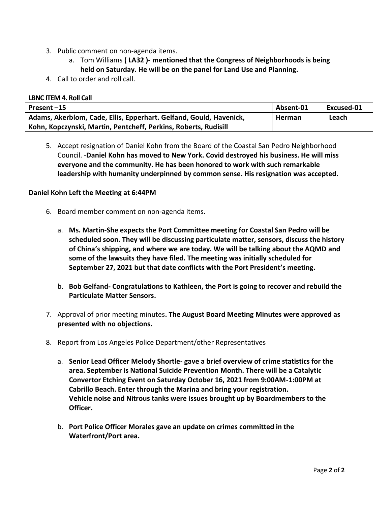- 3. Public comment on non-agenda items.
	- a. Tom Williams **( LA32 )- mentioned that the Congress of Neighborhoods is being held on Saturday. He will be on the panel for Land Use and Planning.**
- 4. Call to order and roll call.

| <b>LBNC ITEM 4. Roll Call</b>                                      |           |            |
|--------------------------------------------------------------------|-----------|------------|
| Present-15                                                         | Absent-01 | Excused-01 |
| Adams, Akerblom, Cade, Ellis, Epperhart. Gelfand, Gould, Havenick, | Herman    | Leach      |
| Kohn, Kopczynski, Martin, Pentcheff, Perkins, Roberts, Rudisill    |           |            |

5. Accept resignation of Daniel Kohn from the Board of the Coastal San Pedro Neighborhood Council. -**Daniel Kohn has moved to New York. Covid destroyed his business. He will miss everyone and the community. He has been honored to work with such remarkable leadership with humanity underpinned by common sense. His resignation was accepted.**

#### **Daniel Kohn Left the Meeting at 6:44PM**

- 6. Board member comment on non-agenda items.
	- a. **Ms. Martin-She expects the Port Committee meeting for Coastal San Pedro will be scheduled soon. They will be discussing particulate matter, sensors, discuss the history of China's shipping, and where we are today. We will be talking about the AQMD and some of the lawsuits they have filed. The meeting was initially scheduled for September 27, 2021 but that date conflicts with the Port President's meeting.**
	- b. **Bob Gelfand- Congratulations to Kathleen, the Port is going to recover and rebuild the Particulate Matter Sensors.**
- 7. Approval of prior meeting minutes**. The August Board Meeting Minutes were approved as presented with no objections.**
- 8. Report from Los Angeles Police Department/other Representatives
	- a. **Senior Lead Officer Melody Shortle- gave a brief overview of crime statistics for the area. September is National Suicide Prevention Month. There will be a Catalytic Convertor Etching Event on Saturday October 16, 2021 from 9:00AM-1:00PM at Cabrillo Beach. Enter through the Marina and bring your registration. Vehicle noise and Nitrous tanks were issues brought up by Boardmembers to the Officer.**
	- b. **Port Police Officer Morales gave an update on crimes committed in the Waterfront/Port area.**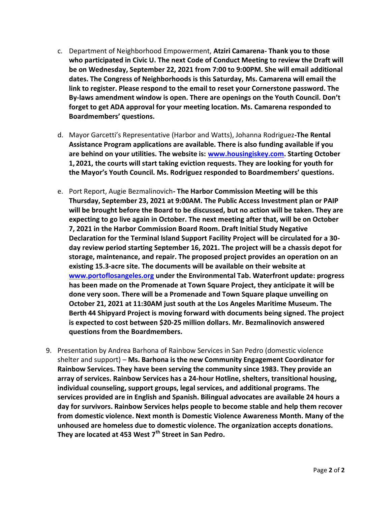- c. Department of Neighborhood Empowerment, **Atziri Camarena- Thank you to those who participated in Civic U. The next Code of Conduct Meeting to review the Draft will be on Wednesday, September 22, 2021 from 7:00 to 9:00PM. She will email additional dates. The Congress of Neighborhoods is this Saturday, Ms. Camarena will email the link to register. Please respond to the email to reset your Cornerstone password. The By-laws amendment window is open. There are openings on the Youth Council. Don't forget to get ADA approval for your meeting location. Ms. Camarena responded to Boardmembers' questions.**
- d. Mayor Garcetti's Representative (Harbor and Watts), Johanna Rodriguez**-The Rental Assistance Program applications are available. There is also funding available if you are behind on your utilities. The website is: [www.housingiskey.com.](about:blank) Starting October 1, 2021, the courts will start taking eviction requests. They are looking for youth for the Mayor's Youth Council. Ms. Rodriguez responded to Boardmembers' questions.**
- e. Port Report, Augie Bezmalinovich**- The Harbor Commission Meeting will be this Thursday, September 23, 2021 at 9:00AM. The Public Access Investment plan or PAIP will be brought before the Board to be discussed, but no action will be taken. They are expecting to go live again in October. The next meeting after that, will be on October 7, 2021 in the Harbor Commission Board Room. Draft Initial Study Negative Declaration for the Terminal Island Support Facility Project will be circulated for a 30 day review period starting September 16, 2021. The project will be a chassis depot for storage, maintenance, and repair. The proposed project provides an operation on an existing 15.3-acre site. The documents will be available on their website at [www.portoflosangeles.org](about:blank) under the Environmental Tab. Waterfront update: progress has been made on the Promenade at Town Square Project, they anticipate it will be done very soon. There will be a Promenade and Town Square plaque unveiling on October 21, 2021 at 11:30AM just south at the Los Angeles Maritime Museum. The Berth 44 Shipyard Project is moving forward with documents being signed. The project is expected to cost between \$20-25 million dollars. Mr. Bezmalinovich answered questions from the Boardmembers.**
- 9. Presentation by Andrea Barhona of Rainbow Services in San Pedro (domestic violence shelter and support) – **Ms. Barhona is the new Community Engagement Coordinator for Rainbow Services. They have been serving the community since 1983. They provide an array of services. Rainbow Services has a 24-hour Hotline, shelters, transitional housing, individual counseling, support groups, legal services, and additional programs. The services provided are in English and Spanish. Bilingual advocates are available 24 hours a day for survivors. Rainbow Services helps people to become stable and help them recover from domestic violence. Next month is Domestic Violence Awareness Month. Many of the unhoused are homeless due to domestic violence. The organization accepts donations. They are located at 453 West 7th Street in San Pedro.**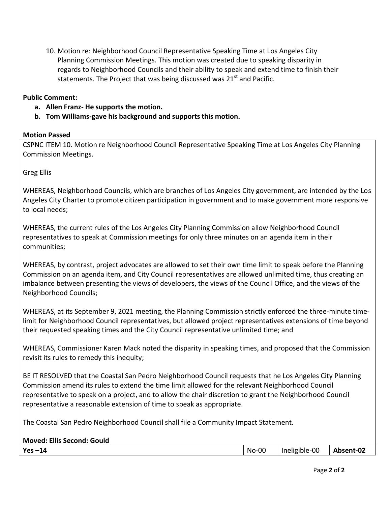10. Motion re: Neighborhood Council Representative Speaking Time at Los Angeles City Planning Commission Meetings. This motion was created due to speaking disparity in regards to Neighborhood Councils and their ability to speak and extend time to finish their statements. The Project that was being discussed was 21<sup>st</sup> and Pacific.

#### **Public Comment:**

- **a. Allen Franz- He supports the motion.**
- **b. Tom Williams-gave his background and supports this motion.**

#### **Motion Passed**

CSPNC ITEM 10. Motion re Neighborhood Council Representative Speaking Time at Los Angeles City Planning Commission Meetings.

Greg Ellis

WHEREAS, Neighborhood Councils, which are branches of Los Angeles City government, are intended by the Los Angeles City Charter to promote citizen participation in government and to make government more responsive to local needs;

WHEREAS, the current rules of the Los Angeles City Planning Commission allow Neighborhood Council representatives to speak at Commission meetings for only three minutes on an agenda item in their communities;

WHEREAS, by contrast, project advocates are allowed to set their own time limit to speak before the Planning Commission on an agenda item, and City Council representatives are allowed unlimited time, thus creating an imbalance between presenting the views of developers, the views of the Council Office, and the views of the Neighborhood Councils;

WHEREAS, at its September 9, 2021 meeting, the Planning Commission strictly enforced the three-minute timelimit for Neighborhood Council representatives, but allowed project representatives extensions of time beyond their requested speaking times and the City Council representative unlimited time; and

WHEREAS, Commissioner Karen Mack noted the disparity in speaking times, and proposed that the Commission revisit its rules to remedy this inequity;

BE IT RESOLVED that the Coastal San Pedro Neighborhood Council requests that he Los Angeles City Planning Commission amend its rules to extend the time limit allowed for the relevant Neighborhood Council representative to speak on a project, and to allow the chair discretion to grant the Neighborhood Council representative a reasonable extension of time to speak as appropriate.

The Coastal San Pedro Neighborhood Council shall file a Community Impact Statement.

| <b>Moved: Ellis Second: Gould</b> |  |  |
|-----------------------------------|--|--|
|-----------------------------------|--|--|

|--|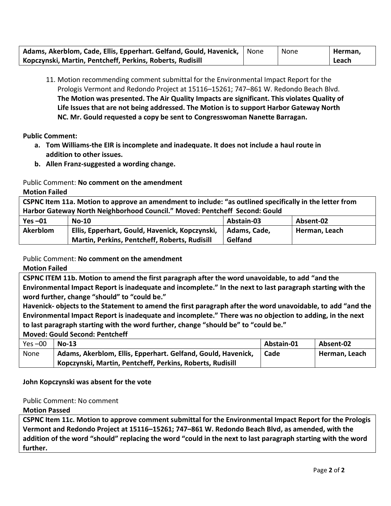| Adams, Akerblom, Cade, Ellis, Epperhart. Gelfand, Gould, Havenick,   None | None | Herman, |
|---------------------------------------------------------------------------|------|---------|
| Kopczynski, Martin, Pentcheff, Perkins, Roberts, Rudisill                 |      | Leach   |

11. Motion recommending comment submittal for the Environmental Impact Report for the Prologis Vermont and Redondo Project at 15116–15261; 747–861 W. Redondo Beach Blvd. **The Motion was presented. The Air Quality Impacts are significant. This violates Quality of Life Issues that are not being addressed. The Motion is to support Harbor Gateway North NC. Mr. Gould requested a copy be sent to Congresswoman Nanette Barragan.** 

**Public Comment:** 

- **a. Tom Williams-the EIR is incomplete and inadequate. It does not include a haul route in addition to other issues.**
- **b. Allen Franz-suggested a wording change.**

Public Comment: **No comment on the amendment**

**Motion Failed**

**CSPNC Item 11a. Motion to approve an amendment to include: "as outlined specifically in the letter from Harbor Gateway North Neighborhood Council." Moved: Pentcheff Second: Gould**

| $Yes -01$       | $No-10$                                        | Abstain-03   | Absent-02     |
|-----------------|------------------------------------------------|--------------|---------------|
| <b>Akerblom</b> | Ellis, Epperhart, Gould, Havenick, Kopczynski, | Adams. Cade. | Herman, Leach |
|                 | Martin, Perkins, Pentcheff, Roberts, Rudisill  | Gelfand      |               |

Public Comment: **No comment on the amendment**

**Motion Failed**

**CSPNC ITEM 11b. Motion to amend the first paragraph after the word unavoidable, to add "and the Environmental Impact Report is inadequate and incomplete." In the next to last paragraph starting with the word further, change "should" to "could be."**

**Havenick- objects to the Statement to amend the first paragraph after the word unavoidable, to add "and the Environmental Impact Report is inadequate and incomplete." There was no objection to adding, in the next to last paragraph starting with the word further, change "should be" to "could be."**

**Moved: Gould Second: Pentcheff**

| $Yes -00$ | $No-13$                                                      | Abstain-01 | Absent-02     |
|-----------|--------------------------------------------------------------|------------|---------------|
| None      | Adams, Akerblom, Ellis, Epperhart. Gelfand, Gould, Havenick, | Cade       | Herman, Leach |
|           | Kopczynski, Martin, Pentcheff, Perkins, Roberts, Rudisill    |            |               |

## **John Kopczynski was absent for the vote**

## Public Comment: No comment

**Motion Passed** 

**CSPNC Item 11c. Motion to approve comment submittal for the Environmental Impact Report for the Prologis Vermont and Redondo Project at 15116–15261; 747–861 W. Redondo Beach Blvd, as amended, with the addition of the word "should" replacing the word "could in the next to last paragraph starting with the word further.**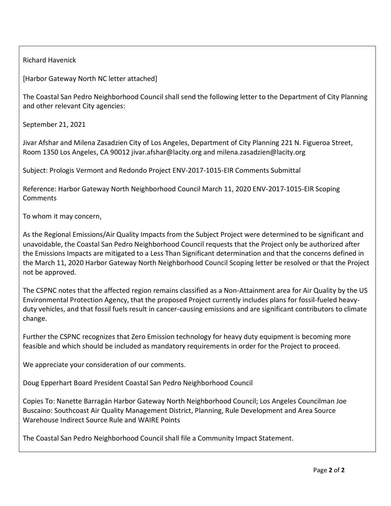Richard Havenick

[Harbor Gateway North NC letter attached]

The Coastal San Pedro Neighborhood Council shall send the following letter to the Department of City Planning and other relevant City agencies:

September 21, 2021

Jivar Afshar and Milena Zasadzien City of Los Angeles, Department of City Planning 221 N. Figueroa Street, Room 1350 Los Angeles, CA 90012 jivar.afshar@lacity.org and milena.zasadzien@lacity.org

Subject: Prologis Vermont and Redondo Project ENV-2017-1015-EIR Comments Submittal

Reference: Harbor Gateway North Neighborhood Council March 11, 2020 ENV-2017-1015-EIR Scoping Comments

To whom it may concern,

As the Regional Emissions/Air Quality Impacts from the Subject Project were determined to be significant and unavoidable, the Coastal San Pedro Neighborhood Council requests that the Project only be authorized after the Emissions Impacts are mitigated to a Less Than Significant determination and that the concerns defined in the March 11, 2020 Harbor Gateway North Neighborhood Council Scoping letter be resolved or that the Project not be approved.

The CSPNC notes that the affected region remains classified as a Non-Attainment area for Air Quality by the US Environmental Protection Agency, that the proposed Project currently includes plans for fossil-fueled heavyduty vehicles, and that fossil fuels result in cancer-causing emissions and are significant contributors to climate change.

Further the CSPNC recognizes that Zero Emission technology for heavy duty equipment is becoming more feasible and which should be included as mandatory requirements in order for the Project to proceed.

We appreciate your consideration of our comments.

Doug Epperhart Board President Coastal San Pedro Neighborhood Council

Copies To: Nanette Barragán Harbor Gateway North Neighborhood Council; Los Angeles Councilman Joe Buscaino: Southcoast Air Quality Management District, Planning, Rule Development and Area Source Warehouse Indirect Source Rule and WAIRE Points

The Coastal San Pedro Neighborhood Council shall file a Community Impact Statement.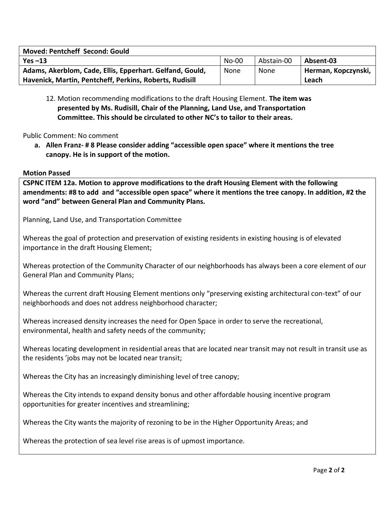| <b>Moved: Pentcheff Second: Gould</b>                    |              |            |                     |
|----------------------------------------------------------|--------------|------------|---------------------|
| Yes $-13$                                                | <b>No-00</b> | Abstain-00 | Absent-03           |
| Adams, Akerblom, Cade, Ellis, Epperhart. Gelfand, Gould, | None         | None       | Herman, Kopczynski, |
| Havenick, Martin, Pentcheff, Perkins, Roberts, Rudisill  |              |            | Leach               |

12. Motion recommending modifications to the draft Housing Element. **The item was presented by Ms. Rudisill, Chair of the Planning, Land Use, and Transportation Committee. This should be circulated to other NC's to tailor to their areas.**

# Public Comment: No comment

**a. Allen Franz- # 8 Please consider adding "accessible open space" where it mentions the tree canopy. He is in support of the motion.**

## **Motion Passed**

**b. CSPNC ITEM 12a. Motion to approve modifications to the draft Housing Element with the following amendments: #8 to add and "accessible open space" where it mentions the tree canopy. In addition, #2 the word "and" between General Plan and Community Plans.**

Planning, Land Use, and Transportation Committee

Whereas the goal of protection and preservation of existing residents in existing housing is of elevated importance in the draft Housing Element;

Whereas protection of the Community Character of our neighborhoods has always been a core element of our General Plan and Community Plans;

Whereas the current draft Housing Element mentions only "preserving existing architectural con-text" of our neighborhoods and does not address neighborhood character;

Whereas increased density increases the need for Open Space in order to serve the recreational, environmental, health and safety needs of the community;

Whereas locating development in residential areas that are located near transit may not result in transit use as the residents 'jobs may not be located near transit;

Whereas the City has an increasingly diminishing level of tree canopy;

Whereas the City intends to expand density bonus and other affordable housing incentive program opportunities for greater incentives and streamlining;

Whereas the City wants the majority of rezoning to be in the Higher Opportunity Areas; and

Whereas the protection of sea level rise areas is of upmost importance.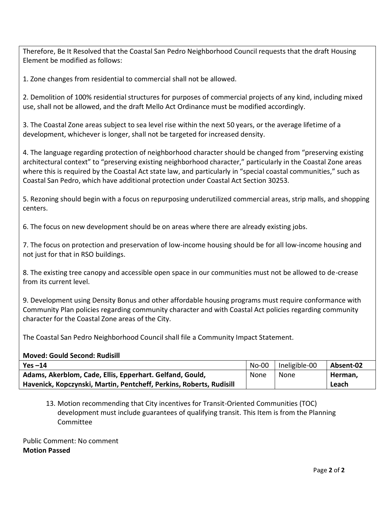Therefore, Be It Resolved that the Coastal San Pedro Neighborhood Council requests that the draft Housing Element be modified as follows:

1. Zone changes from residential to commercial shall not be allowed.

2. Demolition of 100% residential structures for purposes of commercial projects of any kind, including mixed use, shall not be allowed, and the draft Mello Act Ordinance must be modified accordingly.

3. The Coastal Zone areas subject to sea level rise within the next 50 years, or the average lifetime of a development, whichever is longer, shall not be targeted for increased density.

4. The language regarding protection of neighborhood character should be changed from "preserving existing architectural context" to "preserving existing neighborhood character," particularly in the Coastal Zone areas where this is required by the Coastal Act state law, and particularly in "special coastal communities," such as Coastal San Pedro, which have additional protection under Coastal Act Section 30253.

5. Rezoning should begin with a focus on repurposing underutilized commercial areas, strip malls, and shopping centers.

6. The focus on new development should be on areas where there are already existing jobs.

7. The focus on protection and preservation of low-income housing should be for all low-income housing and not just for that in RSO buildings.

8. The existing tree canopy and accessible open space in our communities must not be allowed to de-crease from its current level.

9. Development using Density Bonus and other affordable housing programs must require conformance with Community Plan policies regarding community character and with Coastal Act policies regarding community character for the Coastal Zone areas of the City.

The Coastal San Pedro Neighborhood Council shall file a Community Impact Statement.

#### **Moved: Gould Second: Rudisill**

| $Yes -14$                                                           | No-00 | Ineligible-00 | Absent-02 |
|---------------------------------------------------------------------|-------|---------------|-----------|
| Adams, Akerblom, Cade, Ellis, Epperhart. Gelfand, Gould,            | None  | None          | Herman.   |
| Havenick, Kopczynski, Martin, Pentcheff, Perkins, Roberts, Rudisill |       |               | Leach     |

# 13. Motion recommending that City incentives for Transit-Oriented Communities (TOC) development must include guarantees of qualifying transit. This Item is from the Planning Committee

Public Comment: No comment **Motion Passed**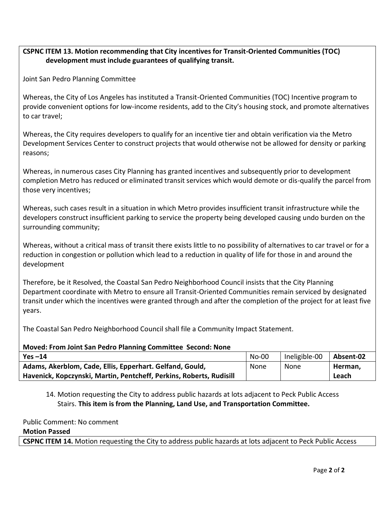# **CSPNC ITEM 13. Motion recommending that City incentives for Transit-Oriented Communities (TOC) development must include guarantees of qualifying transit.**

Joint San Pedro Planning Committee

Whereas, the City of Los Angeles has instituted a Transit-Oriented Communities (TOC) Incentive program to provide convenient options for low-income residents, add to the City's housing stock, and promote alternatives to car travel;

Whereas, the City requires developers to qualify for an incentive tier and obtain verification via the Metro Development Services Center to construct projects that would otherwise not be allowed for density or parking reasons;

Whereas, in numerous cases City Planning has granted incentives and subsequently prior to development completion Metro has reduced or eliminated transit services which would demote or dis-qualify the parcel from those very incentives;

Whereas, such cases result in a situation in which Metro provides insufficient transit infrastructure while the developers construct insufficient parking to service the property being developed causing undo burden on the surrounding community;

Whereas, without a critical mass of transit there exists little to no possibility of alternatives to car travel or for a reduction in congestion or pollution which lead to a reduction in quality of life for those in and around the development

Therefore, be it Resolved, the Coastal San Pedro Neighborhood Council insists that the City Planning Department coordinate with Metro to ensure all Transit-Oriented Communities remain serviced by designated transit under which the incentives were granted through and after the completion of the project for at least five years.

The Coastal San Pedro Neighborhood Council shall file a Community Impact Statement.

## **Moved: From Joint San Pedro Planning Committee Second: None**

| $Yes -14$                                                           | <b>No-00</b> | Ineligible-00 | Absent-02 |
|---------------------------------------------------------------------|--------------|---------------|-----------|
| Adams, Akerblom, Cade, Ellis, Epperhart. Gelfand, Gould,            | None         | None          | Herman,   |
| Havenick, Kopczynski, Martin, Pentcheff, Perkins, Roberts, Rudisill |              |               | Leach     |

# 14. Motion requesting the City to address public hazards at lots adjacent to Peck Public Access Stairs. **This item is from the Planning, Land Use, and Transportation Committee.**

## Public Comment: No comment

## **Motion Passed**

**CSPNC ITEM 14.** Motion requesting the City to address public hazards at lots adjacent to Peck Public Access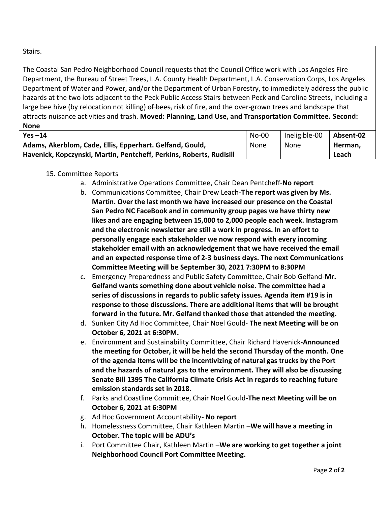# Stairs.

The Coastal San Pedro Neighborhood Council requests that the Council Office work with Los Angeles Fire Department, the Bureau of Street Trees, L.A. County Health Department, L.A. Conservation Corps, Los Angeles Department of Water and Power, and/or the Department of Urban Forestry, to immediately address the public hazards at the two lots adjacent to the Peck Public Access Stairs between Peck and Carolina Streets, including a large bee hive (by relocation not killing) of bees, risk of fire, and the over-grown trees and landscape that attracts nuisance activities and trash. **Moved: Planning, Land Use, and Transportation Committee. Second: None**

| Yes $-14$                                                           | No-00 | Ineligible-00 | Absent-02 |
|---------------------------------------------------------------------|-------|---------------|-----------|
| Adams, Akerblom, Cade, Ellis, Epperhart. Gelfand, Gould,            | None  | None          | Herman,   |
| Havenick, Kopczynski, Martin, Pentcheff, Perkins, Roberts, Rudisill |       |               | Leach     |

# 15. Committee Reports

- a. Administrative Operations Committee, Chair Dean Pentcheff-**No report**
- b. Communications Committee, Chair Drew Leach-**The report was given by Ms. Martin. Over the last month we have increased our presence on the Coastal San Pedro NC FaceBook and in community group pages we have thirty new likes and are engaging between 15,000 to 2,000 people each week. Instagram and the electronic newsletter are still a work in progress. In an effort to personally engage each stakeholder we now respond with every incoming stakeholder email with an acknowledgement that we have received the email and an expected response time of 2-3 business days. The next Communications Committee Meeting will be September 30, 2021 7:30PM to 8:30PM**
- c. Emergency Preparedness and Public Safety Committee, Chair Bob Gelfand-**Mr. Gelfand wants something done about vehicle noise. The committee had a series of discussions in regards to public safety issues. Agenda item #19 is in response to those discussions. There are additional items that will be brought forward in the future. Mr. Gelfand thanked those that attended the meeting.**
- d. Sunken City Ad Hoc Committee, Chair Noel Gould- **The next Meeting will be on October 6, 2021 at 6:30PM.**
- e. Environment and Sustainability Committee, Chair Richard Havenick-**Announced the meeting for October, it will be held the second Thursday of the month. One of the agenda items will be the incentivizing of natural gas trucks by the Port and the hazards of natural gas to the environment. They will also be discussing Senate Bill 1395 The California Climate Crisis Act in regards to reaching future emission standards set in 2018.**
- f. Parks and Coastline Committee, Chair Noel Gould**-The next Meeting will be on October 6, 2021 at 6:30PM**
- g. Ad Hoc Government Accountability- **No report**
- h. Homelessness Committee, Chair Kathleen Martin –**We will have a meeting in October. The topic will be ADU's**
- i. Port Committee Chair, Kathleen Martin –**We are working to get together a joint Neighborhood Council Port Committee Meeting.**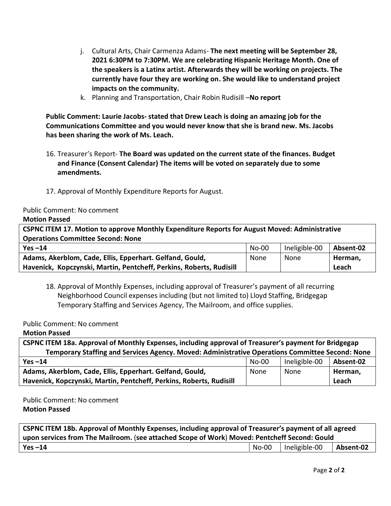- j. Cultural Arts, Chair Carmenza Adams- **The next meeting will be September 28, 2021 6:30PM to 7:30PM. We are celebrating Hispanic Heritage Month. One of the speakers is a Latinx artist. Afterwards they will be working on projects. The currently have four they are working on. She would like to understand project impacts on the community.**
- k. Planning and Transportation, Chair Robin Rudisill –**No report**

**Public Comment: Laurie Jacobs- stated that Drew Leach is doing an amazing job for the Communications Committee and you would never know that she is brand new. Ms. Jacobs has been sharing the work of Ms. Leach.**

- 16. Treasurer's Report- **The Board was updated on the current state of the finances. Budget and Finance (Consent Calendar) The items will be voted on separately due to some amendments.**
- 17. Approval of Monthly Expenditure Reports for August.

Public Comment: No comment

## **Motion Passed**

| CSPNC ITEM 17. Motion to approve Monthly Expenditure Reports for August Moved: Administrative<br><b>Operations Committee Second: None</b> |       |               |           |  |
|-------------------------------------------------------------------------------------------------------------------------------------------|-------|---------------|-----------|--|
| Yes $-14$                                                                                                                                 | No-00 | Ineligible-00 | Absent-02 |  |
| Adams, Akerblom, Cade, Ellis, Epperhart. Gelfand, Gould,                                                                                  | None  | None          | Herman,   |  |
| Havenick, Kopczynski, Martin, Pentcheff, Perkins, Roberts, Rudisill                                                                       |       |               | Leach     |  |

18. Approval of Monthly Expenses, including approval of Treasurer's payment of all recurring Neighborhood Council expenses including (but not limited to) Lloyd Staffing, Bridgegap Temporary Staffing and Services Agency, The Mailroom, and office supplies.

Public Comment: No comment

**Motion Passed** 

| CSPNC ITEM 18a. Approval of Monthly Expenses, including approval of Treasurer's payment for Bridgegap |         |               |           |
|-------------------------------------------------------------------------------------------------------|---------|---------------|-----------|
| Temporary Staffing and Services Agency. Moved: Administrative Operations Committee Second: None       |         |               |           |
| $Yes -14$                                                                                             | $No-00$ | Ineligible-00 | Absent-02 |
| Adams, Akerblom, Cade, Ellis, Epperhart. Gelfand, Gould,                                              | None    | None          | Herman,   |
| Havenick, Kopczynski, Martin, Pentcheff, Perkins, Roberts, Rudisill                                   |         |               | Leach     |

Public Comment: No comment **Motion Passed**

| CSPNC ITEM 18b. Approval of Monthly Expenses, including approval of Treasurer's payment of all agreed |       |               |           |
|-------------------------------------------------------------------------------------------------------|-------|---------------|-----------|
| upon services from The Mailroom. (see attached Scope of Work) Moved: Pentcheff Second: Gould          |       |               |           |
| Yes $-14$                                                                                             | No-00 | Ineligible-00 | Absent-02 |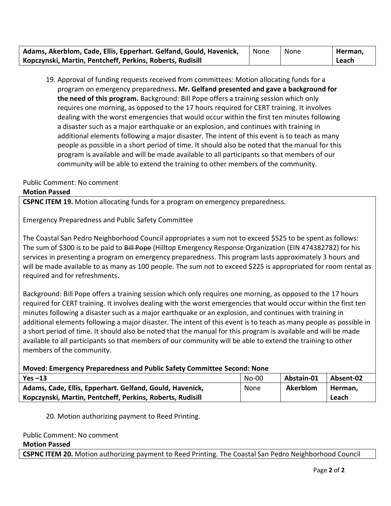| Adams, Akerblom, Cade, Ellis, Epperhart. Gelfand, Gould, Havenick, | None | None | Herman. |
|--------------------------------------------------------------------|------|------|---------|
| Kopczynski, Martin, Pentcheff, Perkins, Roberts, Rudisill          |      |      | Leach   |

19. Approval of funding requests received from committees: Motion allocating funds for a program on emergency preparedness**. Mr. Gelfand presented and gave a background for the need of this program.** Background: Bill Pope offers a training session which only requires one morning, as opposed to the 17 hours required for CERT training. It involves dealing with the worst emergencies that would occur within the first ten minutes following a disaster such as a major earthquake or an explosion, and continues with training in additional elements following a major disaster. The intent of this event is to teach as many people as possible in a short period of time. It should also be noted that the manual for this program is available and will be made available to all participants so that members of our community will be able to extend the training to other members of the community.

## Public Comment: No comment

#### **Motion Passed**

**CSPNC ITEM 19.** Motion allocating funds for a program on emergency preparedness.

Emergency Preparedness and Public Safety Committee

The Coastal San Pedro Neighborhood Council appropriates a sum not to exceed \$525 to be spent as follows: The sum of \$300 is to be paid to Bill Pope (Hilltop Emergency Response Organization (EIN 474382782) for his services in presenting a program on emergency preparedness. This program lasts approximately 3 hours and will be made available to as many as 100 people. The sum not to exceed \$225 is appropriated for room rental as required and for refreshments.

Background: Bill Pope offers a training session which only requires one morning, as opposed to the 17 hours required for CERT training. It involves dealing with the worst emergencies that would occur within the first ten minutes following a disaster such as a major earthquake or an explosion, and continues with training in additional elements following a major disaster. The intent of this event is to teach as many people as possible in a short period of time. It should also be noted that the manual for this program is available and will be made available to all participants so that members of our community will be able to extend the training to other members of the community.

## **Moved: Emergency Preparedness and Public Safety Committee Second: None**

| $Yes -13$                                                 | $No-00$ | Abstain-01 | Absent-02 |
|-----------------------------------------------------------|---------|------------|-----------|
| Adams, Cade, Ellis, Epperhart. Gelfand, Gould, Havenick,  | None    | Akerblom   | Herman.   |
| Kopczynski, Martin, Pentcheff, Perkins, Roberts, Rudisill |         |            | Leach     |

## 20. Motion authorizing payment to Reed Printing.

#### Public Comment: No comment

#### **Motion Passed**

**CSPNC ITEM 20.** Motion authorizing payment to Reed Printing. The Coastal San Pedro Neighborhood Council